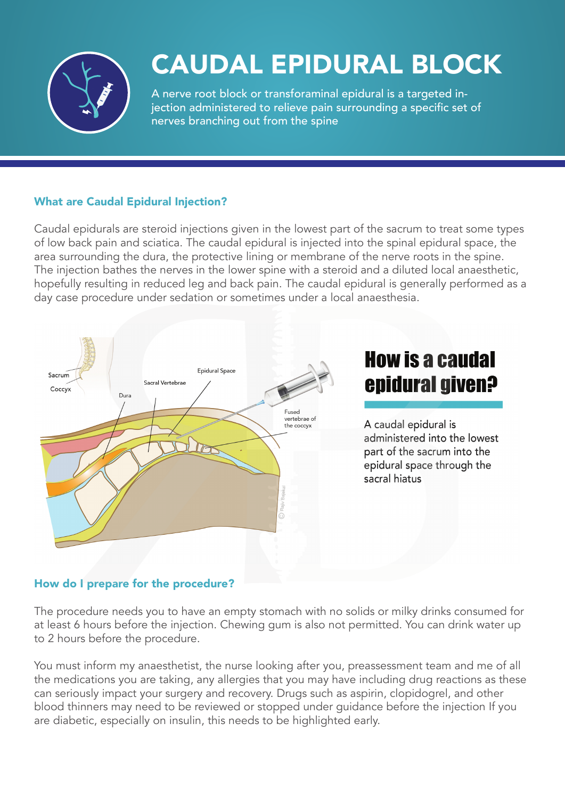

# CAUDAL EPIDURAL BLOCK

A nerve root block or transforaminal epidural is a targeted injection administered to relieve pain surrounding a specific set of nerves branching out from the spine

# What are Caudal Epidural Injection?

Caudal epidurals are steroid injections given in the lowest part of the sacrum to treat some types of low back pain and sciatica. The caudal epidural is injected into the spinal epidural space, the area surrounding the dura, the protective lining or membrane of the nerve roots in the spine. The injection bathes the nerves in the lower spine with a steroid and a diluted local anaesthetic, hopefully resulting in reduced leg and back pain. The caudal epidural is generally performed as a day case procedure under sedation or sometimes under a local anaesthesia.



# How do I prepare for the procedure?

The procedure needs you to have an empty stomach with no solids or milky drinks consumed for at least 6 hours before the injection. Chewing gum is also not permitted. You can drink water up to 2 hours before the procedure.

You must inform my anaesthetist, the nurse looking after you, preassessment team and me of all the medications you are taking, any allergies that you may have including drug reactions as these can seriously impact your surgery and recovery. Drugs such as aspirin, clopidogrel, and other blood thinners may need to be reviewed or stopped under guidance before the injection If you are diabetic, especially on insulin, this needs to be highlighted early.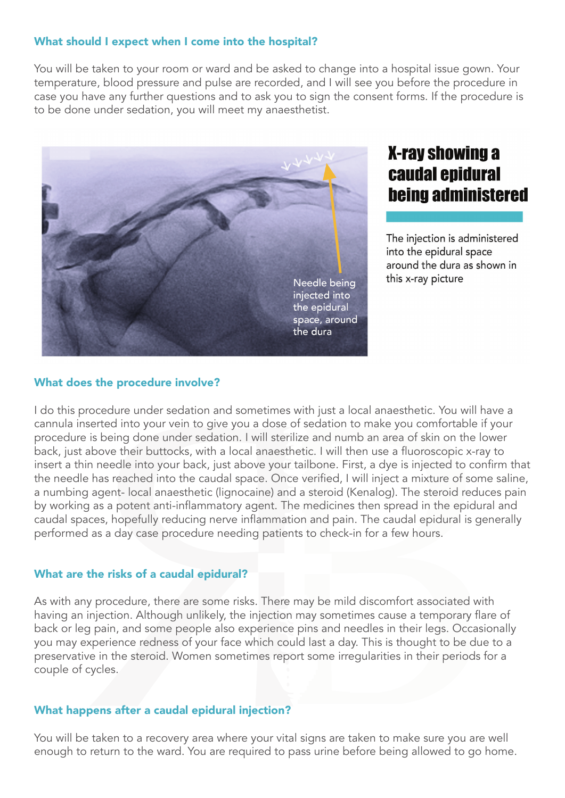### What should I expect when I come into the hospital?

You will be taken to your room or ward and be asked to change into a hospital issue gown. Your temperature, blood pressure and pulse are recorded, and I will see you before the procedure in case you have any further questions and to ask you to sign the consent forms. If the procedure is to be done under sedation, you will meet my anaesthetist.



# **X-ray showing a** caudal epidural **being administered**

The injection is administered into the epidural space around the dura as shown in this x-ray picture

#### What does the procedure involve?

I do this procedure under sedation and sometimes with just a local anaesthetic. You will have a cannula inserted into your vein to give you a dose of sedation to make you comfortable if your procedure is being done under sedation. I will sterilize and numb an area of skin on the lower back, just above their buttocks, with a local anaesthetic. I will then use a fluoroscopic x-ray to insert a thin needle into your back, just above your tailbone. First, a dye is injected to confirm that the needle has reached into the caudal space. Once verified, I will inject a mixture of some saline, a numbing agent- local anaesthetic (lignocaine) and a steroid (Kenalog). The steroid reduces pain by working as a potent anti-inflammatory agent. The medicines then spread in the epidural and caudal spaces, hopefully reducing nerve inflammation and pain. The caudal epidural is generally performed as a day case procedure needing patients to check-in for a few hours.

#### What are the risks of a caudal epidural?

As with any procedure, there are some risks. There may be mild discomfort associated with having an injection. Although unlikely, the injection may sometimes cause a temporary flare of back or leg pain, and some people also experience pins and needles in their legs. Occasionally you may experience redness of your face which could last a day. This is thought to be due to a preservative in the steroid. Women sometimes report some irregularities in their periods for a couple of cycles.

### What happens after a caudal epidural injection?

You will be taken to a recovery area where your vital signs are taken to make sure you are well enough to return to the ward. You are required to pass urine before being allowed to go home.